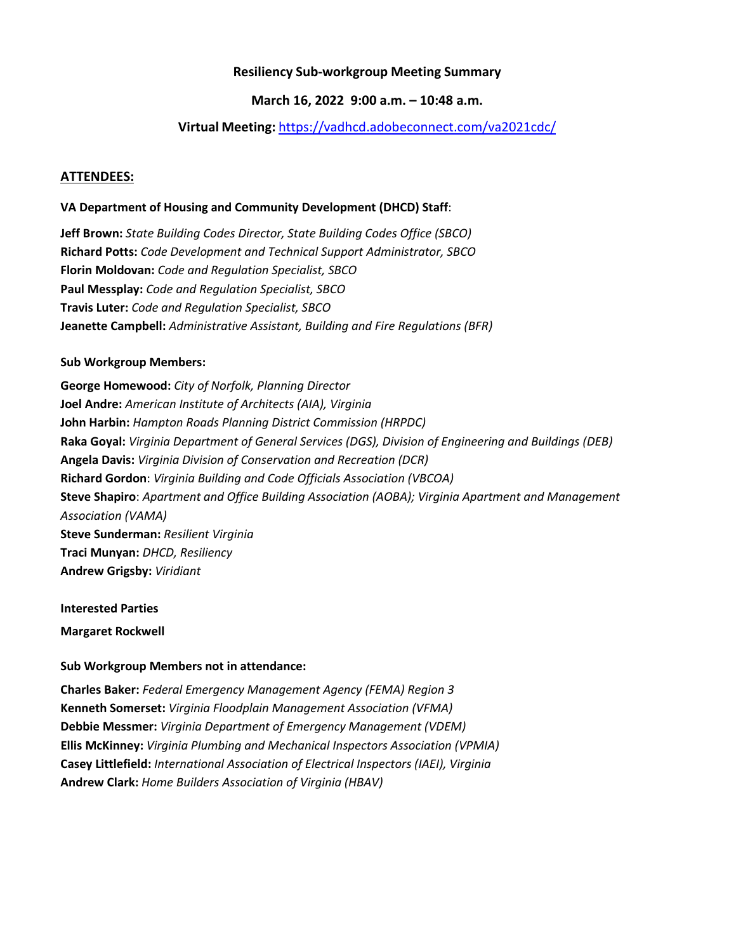# **Resiliency Sub-workgroup Meeting Summary**

## **March 16, 2022 9:00 a.m. – 10:48 a.m.**

## **Virtual Meeting:** <https://vadhcd.adobeconnect.com/va2021cdc/>

#### **ATTENDEES:**

#### **VA Department of Housing and Community Development (DHCD) Staff**:

**Jeff Brown:** *State Building Codes Director, State Building Codes Office (SBCO)* **Richard Potts:** *Code Development and Technical Support Administrator, SBCO* **Florin Moldovan:** *Code and Regulation Specialist, SBCO* **Paul Messplay:** *Code and Regulation Specialist, SBCO* **Travis Luter:** *Code and Regulation Specialist, SBCO* **Jeanette Campbell:** *Administrative Assistant, Building and Fire Regulations (BFR)*

#### **Sub Workgroup Members:**

**George Homewood:** *City of Norfolk, Planning Director* **Joel Andre:** *American Institute of Architects (AIA), Virginia* **John Harbin:** *Hampton Roads Planning District Commission (HRPDC)* **Raka Goyal:** *Virginia Department of General Services (DGS), Division of Engineering and Buildings (DEB)* **Angela Davis:** *Virginia Division of Conservation and Recreation (DCR)* **Richard Gordon**: *Virginia Building and Code Officials Association (VBCOA)* **Steve Shapiro**: *Apartment and Office Building Association (AOBA); Virginia Apartment and Management Association (VAMA)* **Steve Sunderman:** *Resilient Virginia* **Traci Munyan:** *DHCD, Resiliency* **Andrew Grigsby:** *Viridiant*

**Interested Parties**

**Margaret Rockwell**

#### **Sub Workgroup Members not in attendance:**

**Charles Baker:** *Federal Emergency Management Agency (FEMA) Region 3* **Kenneth Somerset:** *Virginia Floodplain Management Association (VFMA)* **Debbie Messmer:** *Virginia Department of Emergency Management (VDEM)* **Ellis McKinney:** *Virginia Plumbing and Mechanical Inspectors Association (VPMIA)* **Casey Littlefield:** *International Association of Electrical Inspectors (IAEI), Virginia* **Andrew Clark:** *Home Builders Association of Virginia (HBAV)*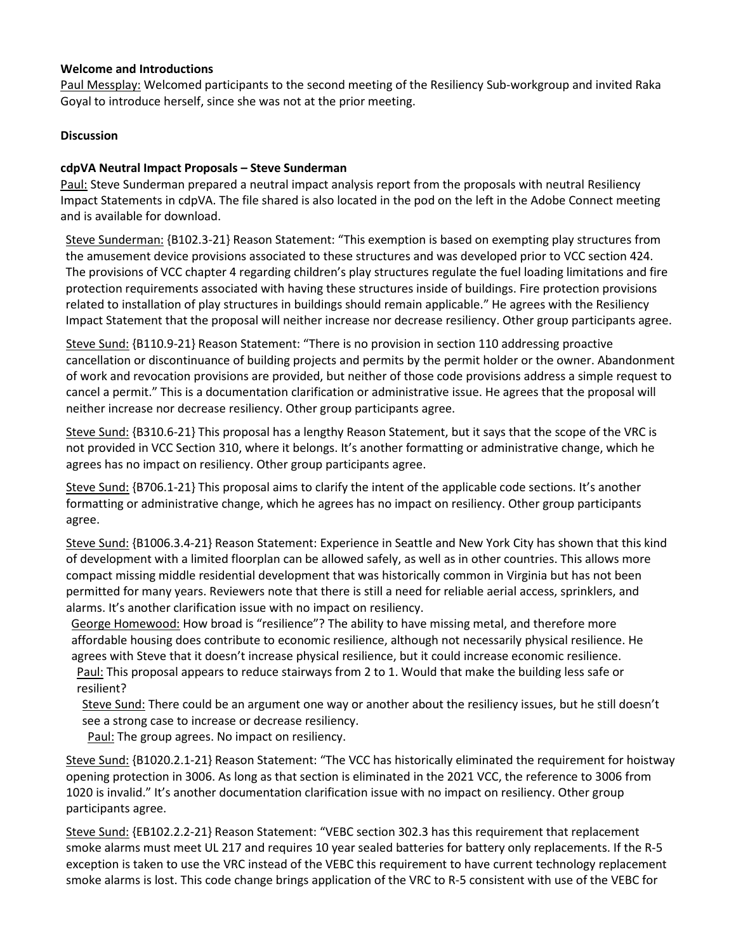## **Welcome and Introductions**

Paul Messplay: Welcomed participants to the second meeting of the Resiliency Sub-workgroup and invited Raka Goyal to introduce herself, since she was not at the prior meeting.

# **Discussion**

## **cdpVA Neutral Impact Proposals – Steve Sunderman**

Paul: Steve Sunderman prepared a neutral impact analysis report from the proposals with neutral Resiliency Impact Statements in cdpVA. The file shared is also located in the pod on the left in the Adobe Connect meeting and is available for download.

Steve Sunderman: {B102.3-21} Reason Statement: "This exemption is based on exempting play structures from the amusement device provisions associated to these structures and was developed prior to VCC section 424. The provisions of VCC chapter 4 regarding children's play structures regulate the fuel loading limitations and fire protection requirements associated with having these structures inside of buildings. Fire protection provisions related to installation of play structures in buildings should remain applicable." He agrees with the Resiliency Impact Statement that the proposal will neither increase nor decrease resiliency. Other group participants agree.

Steve Sund: {B110.9-21} Reason Statement: "There is no provision in section 110 addressing proactive cancellation or discontinuance of building projects and permits by the permit holder or the owner. Abandonment of work and revocation provisions are provided, but neither of those code provisions address a simple request to cancel a permit." This is a documentation clarification or administrative issue. He agrees that the proposal will neither increase nor decrease resiliency. Other group participants agree.

Steve Sund: {B310.6-21} This proposal has a lengthy Reason Statement, but it says that the scope of the VRC is not provided in VCC Section 310, where it belongs. It's another formatting or administrative change, which he agrees has no impact on resiliency. Other group participants agree.

Steve Sund: {B706.1-21} This proposal aims to clarify the intent of the applicable code sections. It's another formatting or administrative change, which he agrees has no impact on resiliency. Other group participants agree.

Steve Sund: {B1006.3.4-21} Reason Statement: Experience in Seattle and New York City has shown that this kind of development with a limited floorplan can be allowed safely, as well as in other countries. This allows more compact missing middle residential development that was historically common in Virginia but has not been permitted for many years. Reviewers note that there is still a need for reliable aerial access, sprinklers, and alarms. It's another clarification issue with no impact on resiliency.

George Homewood: How broad is "resilience"? The ability to have missing metal, and therefore more affordable housing does contribute to economic resilience, although not necessarily physical resilience. He agrees with Steve that it doesn't increase physical resilience, but it could increase economic resilience.

Paul: This proposal appears to reduce stairways from 2 to 1. Would that make the building less safe or resilient?

Steve Sund: There could be an argument one way or another about the resiliency issues, but he still doesn't see a strong case to increase or decrease resiliency.

Paul: The group agrees. No impact on resiliency.

Steve Sund: {B1020.2.1-21} Reason Statement: "The VCC has historically eliminated the requirement for hoistway opening protection in 3006. As long as that section is eliminated in the 2021 VCC, the reference to 3006 from 1020 is invalid." It's another documentation clarification issue with no impact on resiliency. Other group participants agree.

Steve Sund: {EB102.2.2-21} Reason Statement: "VEBC section 302.3 has this requirement that replacement smoke alarms must meet UL 217 and requires 10 year sealed batteries for battery only replacements. If the R-5 exception is taken to use the VRC instead of the VEBC this requirement to have current technology replacement smoke alarms is lost. This code change brings application of the VRC to R-5 consistent with use of the VEBC for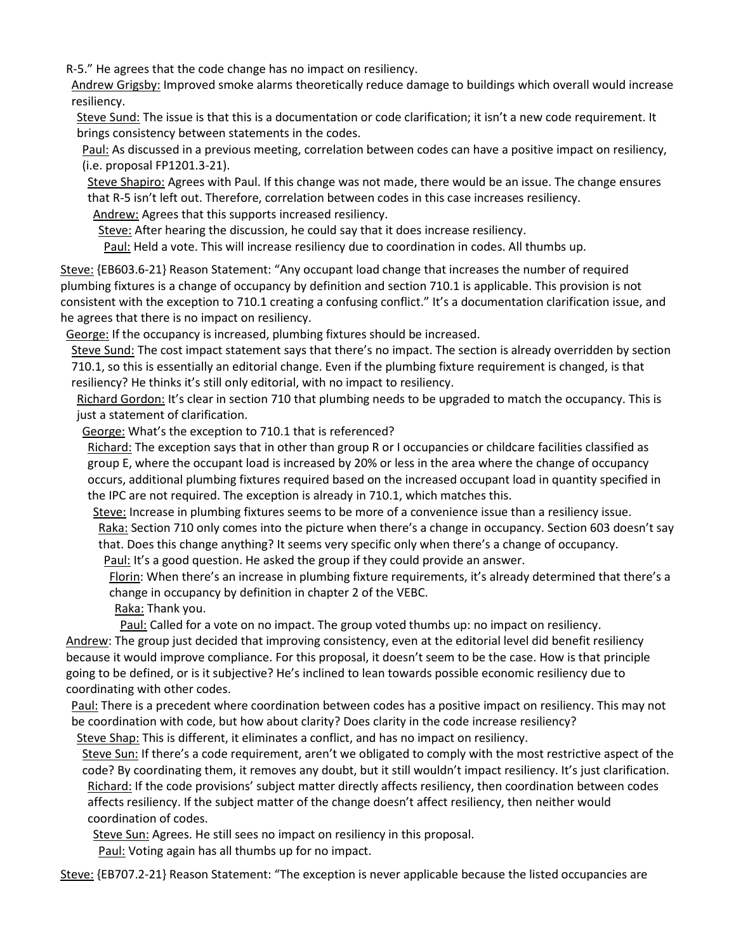R-5." He agrees that the code change has no impact on resiliency.

Andrew Grigsby: Improved smoke alarms theoretically reduce damage to buildings which overall would increase resiliency.

Steve Sund: The issue is that this is a documentation or code clarification; it isn't a new code requirement. It brings consistency between statements in the codes.

Paul: As discussed in a previous meeting, correlation between codes can have a positive impact on resiliency, (i.e. proposal FP1201.3-21).

Steve Shapiro: Agrees with Paul. If this change was not made, there would be an issue. The change ensures that R-5 isn't left out. Therefore, correlation between codes in this case increases resiliency.

Andrew: Agrees that this supports increased resiliency.

Steve: After hearing the discussion, he could say that it does increase resiliency.

Paul: Held a vote. This will increase resiliency due to coordination in codes. All thumbs up.

Steve: {EB603.6-21} Reason Statement: "Any occupant load change that increases the number of required plumbing fixtures is a change of occupancy by definition and section 710.1 is applicable. This provision is not consistent with the exception to 710.1 creating a confusing conflict." It's a documentation clarification issue, and he agrees that there is no impact on resiliency.

George: If the occupancy is increased, plumbing fixtures should be increased.

Steve Sund: The cost impact statement says that there's no impact. The section is already overridden by section 710.1, so this is essentially an editorial change. Even if the plumbing fixture requirement is changed, is that resiliency? He thinks it's still only editorial, with no impact to resiliency.

Richard Gordon: It's clear in section 710 that plumbing needs to be upgraded to match the occupancy. This is just a statement of clarification.

George: What's the exception to 710.1 that is referenced?

Richard: The exception says that in other than group R or I occupancies or childcare facilities classified as group E, where the occupant load is increased by 20% or less in the area where the change of occupancy occurs, additional plumbing fixtures required based on the increased occupant load in quantity specified in the IPC are not required. The exception is already in 710.1, which matches this.

Steve: Increase in plumbing fixtures seems to be more of a convenience issue than a resiliency issue. Raka: Section 710 only comes into the picture when there's a change in occupancy. Section 603 doesn't say that. Does this change anything? It seems very specific only when there's a change of occupancy.

Paul: It's a good question. He asked the group if they could provide an answer.

Florin: When there's an increase in plumbing fixture requirements, it's already determined that there's a change in occupancy by definition in chapter 2 of the VEBC.

Raka: Thank you.

Paul: Called for a vote on no impact. The group voted thumbs up: no impact on resiliency. Andrew: The group just decided that improving consistency, even at the editorial level did benefit resiliency because it would improve compliance. For this proposal, it doesn't seem to be the case. How is that principle going to be defined, or is it subjective? He's inclined to lean towards possible economic resiliency due to coordinating with other codes.

Paul: There is a precedent where coordination between codes has a positive impact on resiliency. This may not be coordination with code, but how about clarity? Does clarity in the code increase resiliency?

Steve Shap: This is different, it eliminates a conflict, and has no impact on resiliency.

Steve Sun: If there's a code requirement, aren't we obligated to comply with the most restrictive aspect of the code? By coordinating them, it removes any doubt, but it still wouldn't impact resiliency. It's just clarification. Richard: If the code provisions' subject matter directly affects resiliency, then coordination between codes affects resiliency. If the subject matter of the change doesn't affect resiliency, then neither would coordination of codes.

Steve Sun: Agrees. He still sees no impact on resiliency in this proposal.

Paul: Voting again has all thumbs up for no impact.

Steve: {EB707.2-21} Reason Statement: "The exception is never applicable because the listed occupancies are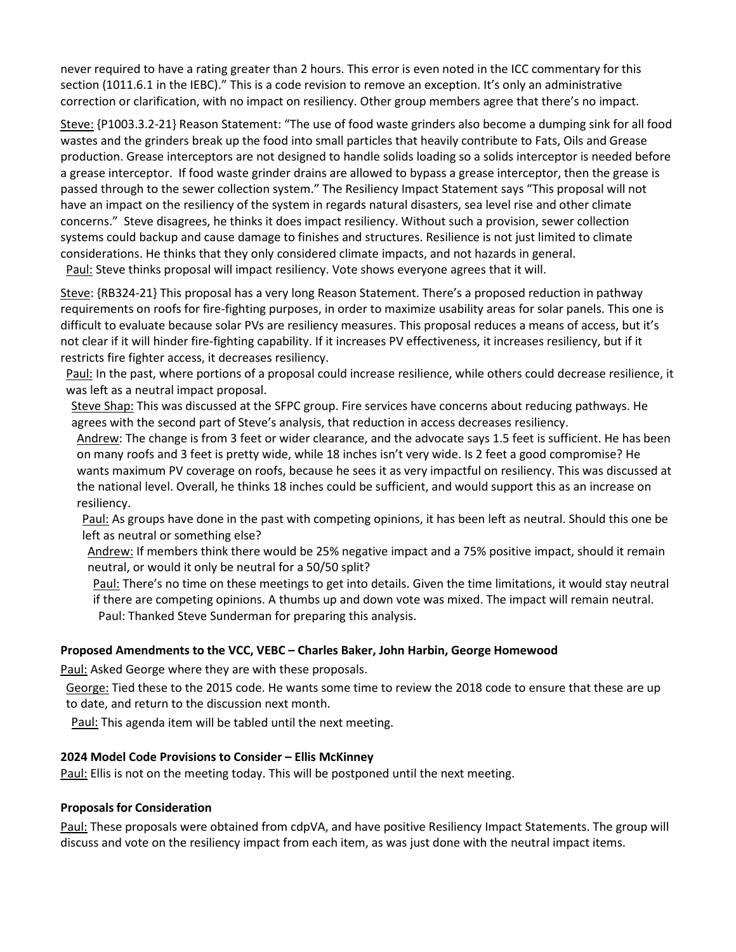never required to have a rating greater than 2 hours. This error is even noted in the ICC commentary for this section (1011.6.1 in the IEBC)." This is a code revision to remove an exception. It's only an administrative correction or clarification, with no impact on resiliency. Other group members agree that there's no impact.

Steve: {P1003.3.2-21} Reason Statement: "The use of food waste grinders also become a dumping sink for all food wastes and the grinders break up the food into small particles that heavily contribute to Fats, Oils and Grease production. Grease interceptors are not designed to handle solids loading so a solids interceptor is needed before a grease interceptor. If food waste grinder drains are allowed to bypass a grease interceptor, then the grease is passed through to the sewer collection system." The Resiliency Impact Statement says "This proposal will not have an impact on the resiliency of the system in regards natural disasters, sea level rise and other climate concerns." Steve disagrees, he thinks it does impact resiliency. Without such a provision, sewer collection systems could backup and cause damage to finishes and structures. Resilience is not just limited to climate considerations. He thinks that they only considered climate impacts, and not hazards in general. Paul: Steve thinks proposal will impact resiliency. Vote shows everyone agrees that it will.

Steve: {RB324-21} This proposal has a very long Reason Statement. There's a proposed reduction in pathway requirements on roofs for fire-fighting purposes, in order to maximize usability areas for solar panels. This one is difficult to evaluate because solar PVs are resiliency measures. This proposal reduces a means of access, but it's not clear if it will hinder fire-fighting capability. If it increases PV effectiveness, it increases resiliency, but if it restricts fire fighter access, it decreases resiliency.

Paul: In the past, where portions of a proposal could increase resilience, while others could decrease resilience, it was left as a neutral impact proposal.

Steve Shap: This was discussed at the SFPC group. Fire services have concerns about reducing pathways. He agrees with the second part of Steve's analysis, that reduction in access decreases resiliency.

Andrew: The change is from 3 feet or wider clearance, and the advocate says 1.5 feet is sufficient. He has been on many roofs and 3 feet is pretty wide, while 18 inches isn't very wide. Is 2 feet a good compromise? He wants maximum PV coverage on roofs, because he sees it as very impactful on resiliency. This was discussed at the national level. Overall, he thinks 18 inches could be sufficient, and would support this as an increase on resiliency.

Paul: As groups have done in the past with competing opinions, it has been left as neutral. Should this one be left as neutral or something else?

Andrew: If members think there would be 25% negative impact and a 75% positive impact, should it remain neutral, or would it only be neutral for a 50/50 split?

Paul: There's no time on these meetings to get into details. Given the time limitations, it would stay neutral if there are competing opinions. A thumbs up and down vote was mixed. The impact will remain neutral. Paul: Thanked Steve Sunderman for preparing this analysis.

## **Proposed Amendments to the VCC, VEBC – Charles Baker, John Harbin, George Homewood**

Paul: Asked George where they are with these proposals.

George: Tied these to the 2015 code. He wants some time to review the 2018 code to ensure that these are up to date, and return to the discussion next month.

Paul: This agenda item will be tabled until the next meeting.

## **2024 Model Code Provisions to Consider – Ellis McKinney**

Paul: Ellis is not on the meeting today. This will be postponed until the next meeting.

#### **Proposals for Consideration**

Paul: These proposals were obtained from cdpVA, and have positive Resiliency Impact Statements. The group will discuss and vote on the resiliency impact from each item, as was just done with the neutral impact items.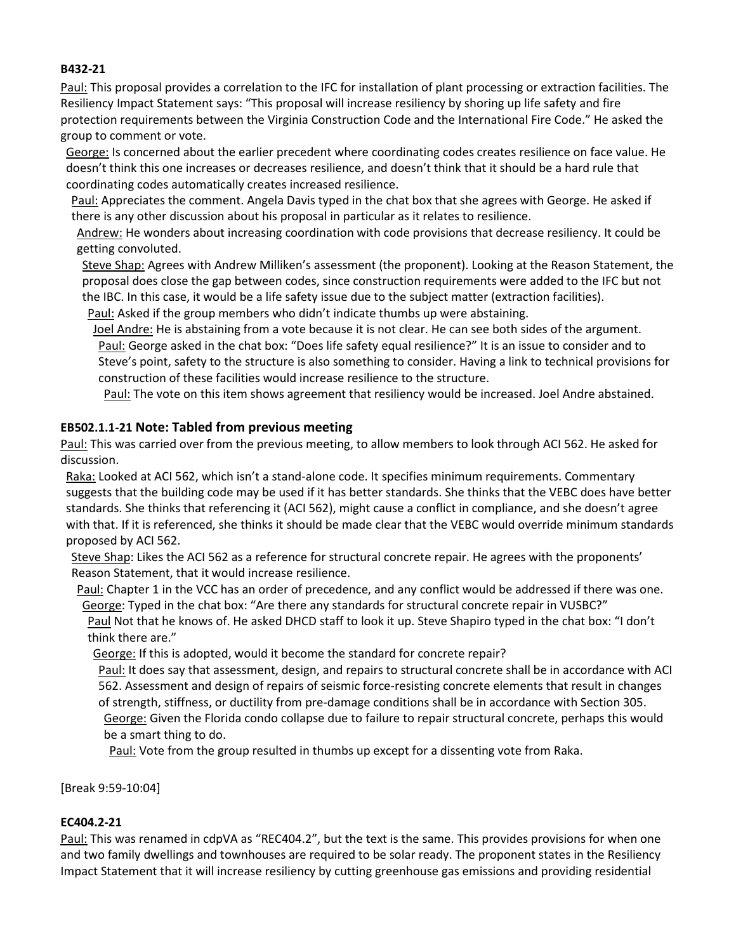## **B432-21**

Paul: This proposal provides a correlation to the IFC for installation of plant processing or extraction facilities. The Resiliency Impact Statement says: "This proposal will increase resiliency by shoring up life safety and fire protection requirements between the Virginia Construction Code and the International Fire Code." He asked the group to comment or vote.

George: Is concerned about the earlier precedent where coordinating codes creates resilience on face value. He doesn't think this one increases or decreases resilience, and doesn't think that it should be a hard rule that coordinating codes automatically creates increased resilience.

Paul: Appreciates the comment. Angela Davis typed in the chat box that she agrees with George. He asked if there is any other discussion about his proposal in particular as it relates to resilience.

Andrew: He wonders about increasing coordination with code provisions that decrease resiliency. It could be getting convoluted.

Steve Shap: Agrees with Andrew Milliken's assessment (the proponent). Looking at the Reason Statement, the proposal does close the gap between codes, since construction requirements were added to the IFC but not the IBC. In this case, it would be a life safety issue due to the subject matter (extraction facilities).

Paul: Asked if the group members who didn't indicate thumbs up were abstaining.

Joel Andre: He is abstaining from a vote because it is not clear. He can see both sides of the argument. Paul: George asked in the chat box: "Does life safety equal resilience?" It is an issue to consider and to Steve's point, safety to the structure is also something to consider. Having a link to technical provisions for construction of these facilities would increase resilience to the structure.

Paul: The vote on this item shows agreement that resiliency would be increased. Joel Andre abstained.

# **EB502.1.1-21 Note: Tabled from previous meeting**

Paul: This was carried over from the previous meeting, to allow members to look through ACI 562. He asked for discussion.

Raka: Looked at ACI 562, which isn't a stand-alone code. It specifies minimum requirements. Commentary suggests that the building code may be used if it has better standards. She thinks that the VEBC does have better standards. She thinks that referencing it (ACI 562), might cause a conflict in compliance, and she doesn't agree with that. If it is referenced, she thinks it should be made clear that the VEBC would override minimum standards proposed by ACI 562.

Steve Shap: Likes the ACI 562 as a reference for structural concrete repair. He agrees with the proponents' Reason Statement, that it would increase resilience.

Paul: Chapter 1 in the VCC has an order of precedence, and any conflict would be addressed if there was one. George: Typed in the chat box: "Are there any standards for structural concrete repair in VUSBC?" Paul Not that he knows of. He asked DHCD staff to look it up. Steve Shapiro typed in the chat box: "I don't think there are."

George: If this is adopted, would it become the standard for concrete repair?

Paul: It does say that assessment, design, and repairs to structural concrete shall be in accordance with ACI 562. Assessment and design of repairs of seismic force-resisting concrete elements that result in changes of strength, stiffness, or ductility from pre-damage conditions shall be in accordance with Section 305. George: Given the Florida condo collapse due to failure to repair structural concrete, perhaps this would be a smart thing to do.

Paul: Vote from the group resulted in thumbs up except for a dissenting vote from Raka.

[Break 9:59-10:04]

# **EC404.2-21**

Paul: This was renamed in cdpVA as "REC404.2", but the text is the same. This provides provisions for when one and two family dwellings and townhouses are required to be solar ready. The proponent states in the Resiliency Impact Statement that it will increase resiliency by cutting greenhouse gas emissions and providing residential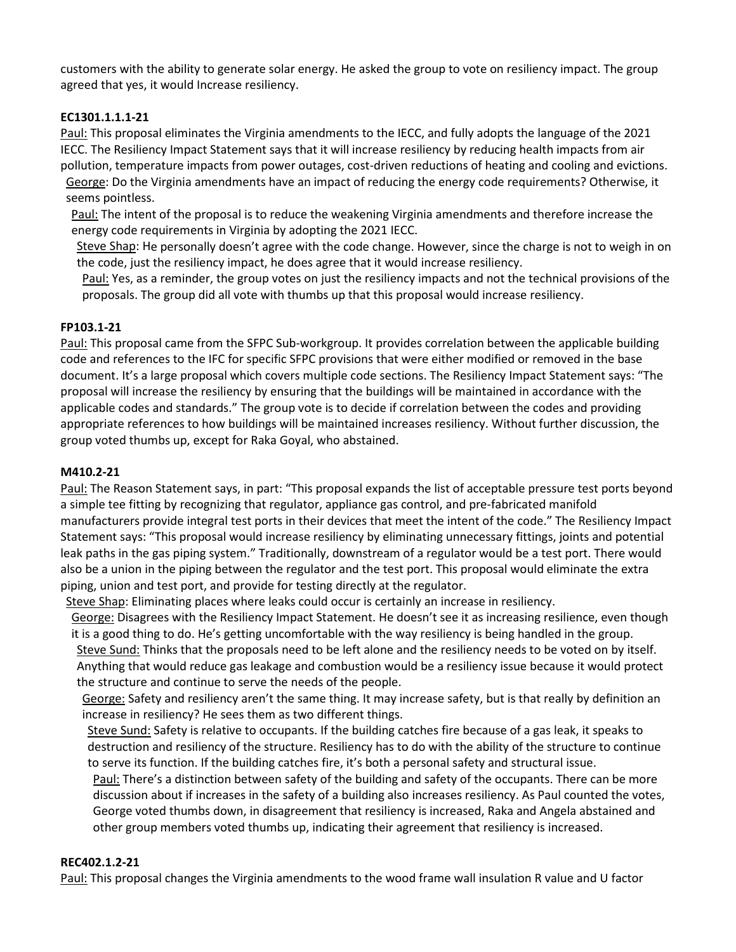customers with the ability to generate solar energy. He asked the group to vote on resiliency impact. The group agreed that yes, it would Increase resiliency.

# **EC1301.1.1.1-21**

Paul: This proposal eliminates the Virginia amendments to the IECC, and fully adopts the language of the 2021 IECC. The Resiliency Impact Statement says that it will increase resiliency by reducing health impacts from air pollution, temperature impacts from power outages, cost-driven reductions of heating and cooling and evictions. George: Do the Virginia amendments have an impact of reducing the energy code requirements? Otherwise, it seems pointless.

Paul: The intent of the proposal is to reduce the weakening Virginia amendments and therefore increase the energy code requirements in Virginia by adopting the 2021 IECC.

Steve Shap: He personally doesn't agree with the code change. However, since the charge is not to weigh in on the code, just the resiliency impact, he does agree that it would increase resiliency.

Paul: Yes, as a reminder, the group votes on just the resiliency impacts and not the technical provisions of the proposals. The group did all vote with thumbs up that this proposal would increase resiliency.

## **FP103.1-21**

Paul: This proposal came from the SFPC Sub-workgroup. It provides correlation between the applicable building code and references to the IFC for specific SFPC provisions that were either modified or removed in the base document. It's a large proposal which covers multiple code sections. The Resiliency Impact Statement says: "The proposal will increase the resiliency by ensuring that the buildings will be maintained in accordance with the applicable codes and standards." The group vote is to decide if correlation between the codes and providing appropriate references to how buildings will be maintained increases resiliency. Without further discussion, the group voted thumbs up, except for Raka Goyal, who abstained.

## **M410.2-21**

Paul: The Reason Statement says, in part: "This proposal expands the list of acceptable pressure test ports beyond a simple tee fitting by recognizing that regulator, appliance gas control, and pre-fabricated manifold manufacturers provide integral test ports in their devices that meet the intent of the code." The Resiliency Impact Statement says: "This proposal would increase resiliency by eliminating unnecessary fittings, joints and potential leak paths in the gas piping system." Traditionally, downstream of a regulator would be a test port. There would also be a union in the piping between the regulator and the test port. This proposal would eliminate the extra piping, union and test port, and provide for testing directly at the regulator.

Steve Shap: Eliminating places where leaks could occur is certainly an increase in resiliency.

George: Disagrees with the Resiliency Impact Statement. He doesn't see it as increasing resilience, even though it is a good thing to do. He's getting uncomfortable with the way resiliency is being handled in the group. Steve Sund: Thinks that the proposals need to be left alone and the resiliency needs to be voted on by itself.

Anything that would reduce gas leakage and combustion would be a resiliency issue because it would protect the structure and continue to serve the needs of the people.

George: Safety and resiliency aren't the same thing. It may increase safety, but is that really by definition an increase in resiliency? He sees them as two different things.

Steve Sund: Safety is relative to occupants. If the building catches fire because of a gas leak, it speaks to destruction and resiliency of the structure. Resiliency has to do with the ability of the structure to continue to serve its function. If the building catches fire, it's both a personal safety and structural issue.

Paul: There's a distinction between safety of the building and safety of the occupants. There can be more discussion about if increases in the safety of a building also increases resiliency. As Paul counted the votes, George voted thumbs down, in disagreement that resiliency is increased, Raka and Angela abstained and other group members voted thumbs up, indicating their agreement that resiliency is increased.

## **REC402.1.2-21**

Paul: This proposal changes the Virginia amendments to the wood frame wall insulation R value and U factor